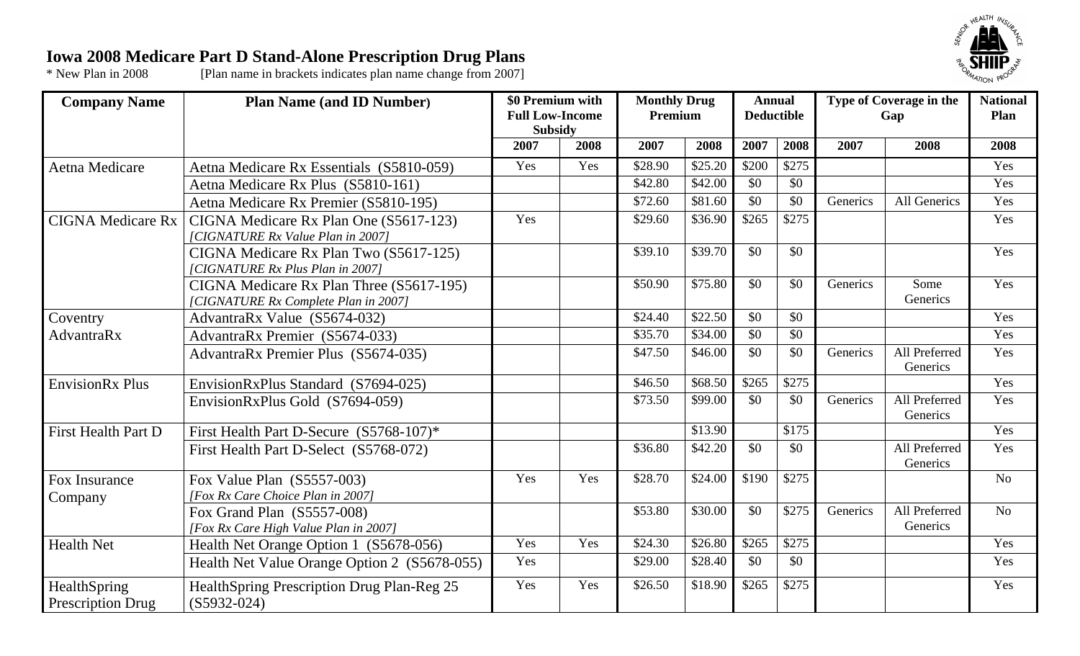## **Iowa 2008 Medicare Part D Stand-Alone Prescription Drug Plans**



\* New Plan in 2008 [Plan name in brackets indicates plan name change from 2007]

| <b>Company Name</b>                      | <b>Plan Name (and ID Number)</b>                                                 | \$0 Premium with<br><b>Full Low-Income</b><br><b>Subsidy</b> |      | <b>Monthly Drug</b><br>Premium |         | <b>Annual</b><br><b>Deductible</b> |       | Type of Coverage in the<br>Gap |                           | <b>National</b><br>Plan |
|------------------------------------------|----------------------------------------------------------------------------------|--------------------------------------------------------------|------|--------------------------------|---------|------------------------------------|-------|--------------------------------|---------------------------|-------------------------|
|                                          |                                                                                  | 2007                                                         | 2008 | 2007                           | 2008    | 2007                               | 2008  | 2007                           | 2008                      | 2008                    |
| Aetna Medicare                           | Aetna Medicare Rx Essentials (S5810-059)                                         | Yes                                                          | Yes  | \$28.90                        | \$25.20 | \$200                              | \$275 |                                |                           | Yes                     |
|                                          | Aetna Medicare Rx Plus (S5810-161)                                               |                                                              |      | \$42.80                        | \$42.00 | \$0                                | \$0   |                                |                           | Yes                     |
|                                          | Aetna Medicare Rx Premier (S5810-195)                                            |                                                              |      | \$72.60                        | \$81.60 | \$0                                | \$0   | Generics                       | All Generics              | Yes                     |
| <b>CIGNA Medicare Rx</b>                 | CIGNA Medicare Rx Plan One (S5617-123)                                           | Yes                                                          |      | \$29.60                        | \$36.90 | \$265                              | \$275 |                                |                           | Yes                     |
|                                          | [CIGNATURE Rx Value Plan in 2007]                                                |                                                              |      |                                |         |                                    |       |                                |                           |                         |
|                                          | CIGNA Medicare Rx Plan Two (S5617-125)<br>[CIGNATURE Rx Plus Plan in 2007]       |                                                              |      | \$39.10                        | \$39.70 | \$0                                | \$0   |                                |                           | Yes                     |
|                                          | CIGNA Medicare Rx Plan Three (S5617-195)<br>[CIGNATURE Rx Complete Plan in 2007] |                                                              |      | \$50.90                        | \$75.80 | \$0                                | \$0   | Generics                       | Some<br>Generics          | Yes                     |
| Coventry                                 | AdvantraRx Value (S5674-032)                                                     |                                                              |      | \$24.40                        | \$22.50 | \$0                                | \$0   |                                |                           | Yes                     |
| AdvantraRx                               | AdvantraRx Premier (S5674-033)                                                   |                                                              |      | \$35.70                        | \$34.00 | \$0                                | \$0   |                                |                           | Yes                     |
|                                          | <b>AdvantraRx Premier Plus (S5674-035)</b>                                       |                                                              |      | \$47.50                        | \$46.00 | \$0                                | \$0   | Generics                       | All Preferred<br>Generics | Yes                     |
| <b>EnvisionRx Plus</b>                   | EnvisionRxPlus Standard (S7694-025)                                              |                                                              |      | \$46.50                        | \$68.50 | \$265                              | \$275 |                                |                           | Yes                     |
|                                          | EnvisionRxPlus Gold (S7694-059)                                                  |                                                              |      | \$73.50                        | \$99.00 | \$0                                | \$0   | Generics                       | All Preferred<br>Generics | Yes                     |
| <b>First Health Part D</b>               | First Health Part D-Secure (S5768-107)*                                          |                                                              |      |                                | \$13.90 |                                    | \$175 |                                |                           | Yes                     |
|                                          | First Health Part D-Select (S5768-072)                                           |                                                              |      | $\overline{$}36.80$            | \$42.20 | \$0                                | \$0   |                                | All Preferred<br>Generics | Yes                     |
| Fox Insurance<br>Company                 | Fox Value Plan (S5557-003)<br>[Fox Rx Care Choice Plan in 2007]                  | Yes                                                          | Yes  | \$28.70                        | \$24.00 | \$190                              | \$275 |                                |                           | N <sub>o</sub>          |
|                                          | Fox Grand Plan (S5557-008)<br>[Fox Rx Care High Value Plan in 2007]              |                                                              |      | \$53.80                        | \$30.00 | \$0                                | \$275 | Generics                       | All Preferred<br>Generics | N <sub>o</sub>          |
| <b>Health Net</b>                        | Health Net Orange Option 1 (S5678-056)                                           | Yes                                                          | Yes  | \$24.30                        | \$26.80 | \$265                              | \$275 |                                |                           | Yes                     |
|                                          | Health Net Value Orange Option 2 (S5678-055)                                     | Yes                                                          |      | \$29.00                        | \$28.40 | \$0                                | \$0   |                                |                           | Yes                     |
| HealthSpring<br><b>Prescription Drug</b> | HealthSpring Prescription Drug Plan-Reg 25<br>$(S5932-024)$                      | Yes                                                          | Yes  | \$26.50                        | \$18.90 | \$265                              | \$275 |                                |                           | Yes                     |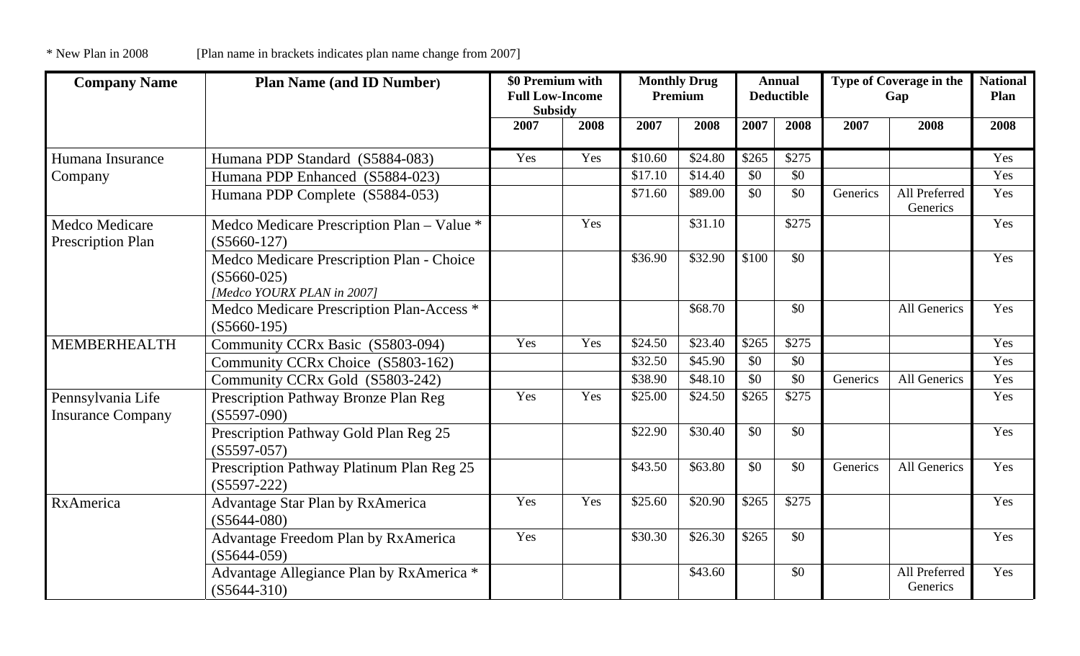| <b>Company Name</b>                           | <b>Plan Name (and ID Number)</b>                                                         | \$0 Premium with<br><b>Full Low-Income</b><br><b>Subsidy</b> |      | <b>Monthly Drug</b><br>Premium |         | <b>Annual</b><br><b>Deductible</b> |       | Type of Coverage in the<br>Gap |                           | <b>National</b><br>Plan |
|-----------------------------------------------|------------------------------------------------------------------------------------------|--------------------------------------------------------------|------|--------------------------------|---------|------------------------------------|-------|--------------------------------|---------------------------|-------------------------|
|                                               |                                                                                          | 2007                                                         | 2008 | 2007                           | 2008    | 2007                               | 2008  | 2007                           | 2008                      | 2008                    |
| Humana Insurance                              | Humana PDP Standard (S5884-083)                                                          | Yes                                                          | Yes  | \$10.60                        | \$24.80 | \$265                              | \$275 |                                |                           | Yes                     |
| Company                                       | Humana PDP Enhanced (S5884-023)                                                          |                                                              |      | \$17.10                        | \$14.40 | \$0                                | \$0   |                                |                           | Yes                     |
|                                               | Humana PDP Complete (S5884-053)                                                          |                                                              |      | \$71.60                        | \$89.00 | \$0                                | \$0   | Generics                       | All Preferred<br>Generics | Yes                     |
| Medco Medicare<br><b>Prescription Plan</b>    | Medco Medicare Prescription Plan - Value *<br>$(S5660-127)$                              |                                                              | Yes  |                                | \$31.10 |                                    | \$275 |                                |                           | Yes                     |
|                                               | Medco Medicare Prescription Plan - Choice<br>$(S5660-025)$<br>[Medco YOURX PLAN in 2007] |                                                              |      | \$36.90                        | \$32.90 | $\overline{$100}$                  | \$0   |                                |                           | Yes                     |
|                                               | Medco Medicare Prescription Plan-Access *<br>$(S5660-195)$                               |                                                              |      |                                | \$68.70 |                                    | \$0   |                                | All Generics              | Yes                     |
| <b>MEMBERHEALTH</b>                           | Community CCRx Basic (S5803-094)                                                         | Yes                                                          | Yes  | \$24.50                        | \$23.40 | \$265                              | \$275 |                                |                           | Yes                     |
|                                               | Community CCRx Choice (S5803-162)                                                        |                                                              |      | \$32.50                        | \$45.90 | \$0                                | \$0   |                                |                           | Yes                     |
|                                               | Community CCRx Gold (S5803-242)                                                          |                                                              |      | \$38.90                        | \$48.10 | \$0                                | \$0   | Generics                       | All Generics              | Yes                     |
| Pennsylvania Life<br><b>Insurance Company</b> | Prescription Pathway Bronze Plan Reg<br>$(S5597-090)$                                    | Yes                                                          | Yes  | \$25.00                        | \$24.50 | \$265                              | \$275 |                                |                           | Yes                     |
|                                               | Prescription Pathway Gold Plan Reg 25<br>$(S5597-057)$                                   |                                                              |      | \$22.90                        | \$30.40 | \$0                                | \$0   |                                |                           | Yes                     |
|                                               | Prescription Pathway Platinum Plan Reg 25<br>$(S5597 - 222)$                             |                                                              |      | \$43.50                        | \$63.80 | \$0                                | \$0   | Generics                       | All Generics              | Yes                     |
| RxAmerica                                     | <b>Advantage Star Plan by RxAmerica</b><br>$(S5644-080)$                                 | Yes                                                          | Yes  | \$25.60                        | \$20.90 | \$265                              | \$275 |                                |                           | Yes                     |
|                                               | Advantage Freedom Plan by RxAmerica<br>$(S5644-059)$                                     | Yes                                                          |      | \$30.30                        | \$26.30 | \$265                              | \$0   |                                |                           | Yes                     |
|                                               | Advantage Allegiance Plan by RxAmerica *<br>$(S5644-310)$                                |                                                              |      |                                | \$43.60 |                                    | \$0   |                                | All Preferred<br>Generics | Yes                     |